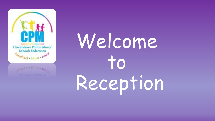

# Welcome to Reception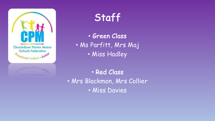

#### Staff

• Green Class • Ms Parfitt, Mrs Maj • Miss Hadley

• Red Class • Mrs Blackmon, Mrs Collier • Miss Davies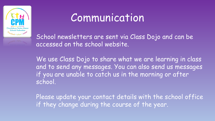

#### **Communication**

School newsletters are sent via Class Dojo and can be accessed on the school website.

We use Class Dojo to share what we are learning in class and to send any messages. You can also send us messages if you are unable to catch us in the morning or after school.

Please update your contact details with the school office if they change during the course of the year.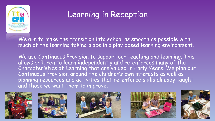

#### Learning in Reception

We aim to make the transition into school as smooth as possible with much of the learning taking place in a play based learning environment.

We use Continuous Provision to support our teaching and learning. This allows children to learn independently and re-enforces many of the Characteristics of Learning that are valued in Early Years. We plan our Continuous Provision around the children's own interests as well as planning resources and activities that re-enforce skills already taught and those we want them to improve.









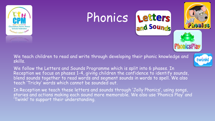





We teach children to read and write through developing their phonic knowledge and skills.

twin

We follow the Letters and Sounds Programme which is split into 6 phases. In Reception we focus on phases 1-4, giving children the confidence to identify sounds, blend sounds together to read words and segment sounds in words to spell. We also teach 'Tricky' words which cannot be sounded out.

In Reception we teach these letters and sounds through 'Jolly Phonics', using songs, stories and actions making each sound more memorable. We also use 'Phonics Play' and 'Twinkl' to support their understanding.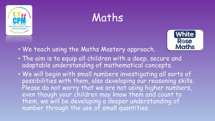

## Maths



- We teach using the Maths Mastery approach.
- The aim is to equip all children with a deep, secure and adaptable understanding of mathematical concepts.
- We will begin with small numbers investigating all sorts of possibilities with them, also developing our reasoning skills. Please do not worry that we are not using higher numbers, even though your children may know them and count to them, we will be developing a deeper understanding of number through the use of small quantities.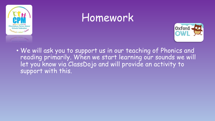

### Homework



• We will ask you to support us in our teaching of Phonics and reading primarily. When we start learning our sounds we will let you know via ClassDojo and will provide an activity to support with this.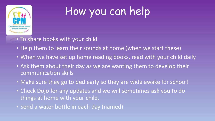

## How you can help

- To share books with your child
- Help them to learn their sounds at home (when we start these)
- When we have set up home reading books, read with your child daily
- Ask them about their day as we are wanting them to develop their communication skills
- Make sure they go to bed early so they are wide awake for school!
- Check Dojo for any updates and we will sometimes ask you to do things at home with your child.
- Send a water bottle in each day (named)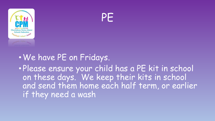



#### •We have PE on Fridays. • Please ensure your child has a PE kit in school on these days. We keep their kits in school and send them home each half term, or earlier

if they need a wash